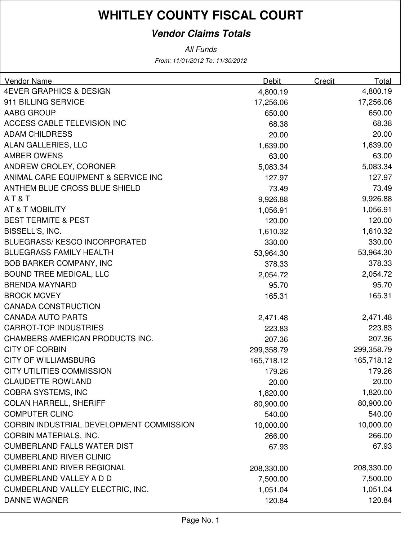#### **Vendor Claims Totals**

| Vendor Name                              | Debit      | Credit | Total      |
|------------------------------------------|------------|--------|------------|
| <b>4EVER GRAPHICS &amp; DESIGN</b>       | 4,800.19   |        | 4,800.19   |
| 911 BILLING SERVICE                      | 17,256.06  |        | 17,256.06  |
| <b>AABG GROUP</b>                        | 650.00     |        | 650.00     |
| ACCESS CABLE TELEVISION INC              | 68.38      |        | 68.38      |
| <b>ADAM CHILDRESS</b>                    | 20.00      |        | 20.00      |
| <b>ALAN GALLERIES, LLC</b>               | 1,639.00   |        | 1,639.00   |
| <b>AMBER OWENS</b>                       | 63.00      |        | 63.00      |
| ANDREW CROLEY, CORONER                   | 5,083.34   |        | 5,083.34   |
| ANIMAL CARE EQUIPMENT & SERVICE INC      | 127.97     |        | 127.97     |
| ANTHEM BLUE CROSS BLUE SHIELD            | 73.49      |        | 73.49      |
| AT&T                                     | 9,926.88   |        | 9,926.88   |
| AT & T MOBILITY                          | 1,056.91   |        | 1,056.91   |
| <b>BEST TERMITE &amp; PEST</b>           | 120.00     |        | 120.00     |
| BISSELL'S, INC.                          | 1,610.32   |        | 1,610.32   |
| <b>BLUEGRASS/ KESCO INCORPORATED</b>     | 330.00     |        | 330.00     |
| <b>BLUEGRASS FAMILY HEALTH</b>           | 53,964.30  |        | 53,964.30  |
| <b>BOB BARKER COMPANY, INC</b>           | 378.33     |        | 378.33     |
| <b>BOUND TREE MEDICAL, LLC</b>           | 2,054.72   |        | 2,054.72   |
| <b>BRENDA MAYNARD</b>                    | 95.70      |        | 95.70      |
| <b>BROCK MCVEY</b>                       | 165.31     |        | 165.31     |
| <b>CANADA CONSTRUCTION</b>               |            |        |            |
| <b>CANADA AUTO PARTS</b>                 | 2,471.48   |        | 2,471.48   |
| <b>CARROT-TOP INDUSTRIES</b>             | 223.83     |        | 223.83     |
| CHAMBERS AMERICAN PRODUCTS INC.          | 207.36     |        | 207.36     |
| <b>CITY OF CORBIN</b>                    | 299,358.79 |        | 299,358.79 |
| <b>CITY OF WILLIAMSBURG</b>              | 165,718.12 |        | 165,718.12 |
| <b>CITY UTILITIES COMMISSION</b>         | 179.26     |        | 179.26     |
| <b>CLAUDETTE ROWLAND</b>                 | 20.00      |        | 20.00      |
| <b>COBRA SYSTEMS, INC</b>                | 1,820.00   |        | 1,820.00   |
| <b>COLAN HARRELL, SHERIFF</b>            | 80,900.00  |        | 80,900.00  |
| <b>COMPUTER CLINC</b>                    | 540.00     |        | 540.00     |
| CORBIN INDUSTRIAL DEVELOPMENT COMMISSION | 10,000.00  |        | 10,000.00  |
| <b>CORBIN MATERIALS, INC.</b>            | 266.00     |        | 266.00     |
| <b>CUMBERLAND FALLS WATER DIST</b>       | 67.93      |        | 67.93      |
| <b>CUMBERLAND RIVER CLINIC</b>           |            |        |            |
| <b>CUMBERLAND RIVER REGIONAL</b>         | 208,330.00 |        | 208,330.00 |
| <b>CUMBERLAND VALLEY A D D</b>           | 7,500.00   |        | 7,500.00   |
| <b>CUMBERLAND VALLEY ELECTRIC, INC.</b>  | 1,051.04   |        | 1,051.04   |
| <b>DANNE WAGNER</b>                      | 120.84     |        | 120.84     |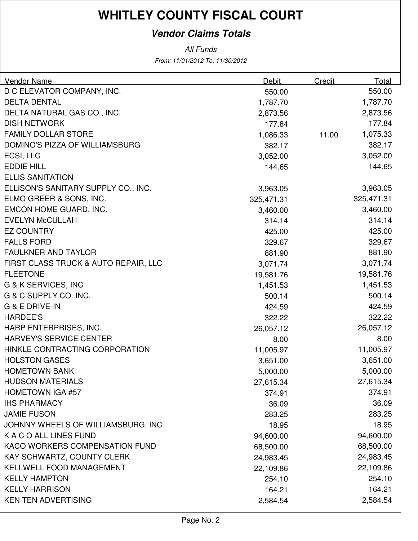#### **Vendor Claims Totals**

| <b>Vendor Name</b>                   | Debit      | Credit | Total      |
|--------------------------------------|------------|--------|------------|
| D C ELEVATOR COMPANY, INC.           | 550.00     |        | 550.00     |
| <b>DELTA DENTAL</b>                  | 1,787.70   |        | 1,787.70   |
| DELTA NATURAL GAS CO., INC.          | 2,873.56   |        | 2,873.56   |
| <b>DISH NETWORK</b>                  | 177.84     |        | 177.84     |
| FAMILY DOLLAR STORE                  | 1,086.33   | 11.00  | 1,075.33   |
| DOMINO'S PIZZA OF WILLIAMSBURG       | 382.17     |        | 382.17     |
| ECSI, LLC                            | 3,052.00   |        | 3,052.00   |
| <b>EDDIE HILL</b>                    | 144.65     |        | 144.65     |
| <b>ELLIS SANITATION</b>              |            |        |            |
| ELLISON'S SANITARY SUPPLY CO., INC.  | 3,963.05   |        | 3,963.05   |
| ELMO GREER & SONS, INC.              | 325,471.31 |        | 325,471.31 |
| EMCON HOME GUARD, INC.               | 3,460.00   |        | 3,460.00   |
| <b>EVELYN McCULLAH</b>               | 314.14     |        | 314.14     |
| <b>EZ COUNTRY</b>                    | 425.00     |        | 425.00     |
| <b>FALLS FORD</b>                    | 329.67     |        | 329.67     |
| <b>FAULKNER AND TAYLOR</b>           | 881.90     |        | 881.90     |
| FIRST CLASS TRUCK & AUTO REPAIR, LLC | 3,071.74   |        | 3,071.74   |
| <b>FLEETONE</b>                      | 19,581.76  |        | 19,581.76  |
| G & K SERVICES, INC                  | 1,451.53   |        | 1,451.53   |
| G & C SUPPLY CO. INC.                | 500.14     |        | 500.14     |
| <b>G &amp; E DRIVE-IN</b>            | 424.59     |        | 424.59     |
| <b>HARDEE'S</b>                      | 322.22     |        | 322.22     |
| HARP ENTERPRISES, INC.               | 26,057.12  |        | 26,057.12  |
| <b>HARVEY'S SERVICE CENTER</b>       | 8.00       |        | 8.00       |
| HINKLE CONTRACTING CORPORATION       | 11,005.97  |        | 11,005.97  |
| <b>HOLSTON GASES</b>                 | 3,651.00   |        | 3,651.00   |
| <b>HOMETOWN BANK</b>                 | 5,000.00   |        | 5,000.00   |
| <b>HUDSON MATERIALS</b>              | 27,615.34  |        | 27,615.34  |
| <b>HOMETOWN IGA #57</b>              | 374.91     |        | 374.91     |
| <b>IHS PHARMACY</b>                  | 36.09      |        | 36.09      |
| <b>JAMIE FUSON</b>                   | 283.25     |        | 283.25     |
| JOHNNY WHEELS OF WILLIAMSBURG, INC   | 18.95      |        | 18.95      |
| K A C O ALL LINES FUND               | 94,600.00  |        | 94,600.00  |
| KACO WORKERS COMPENSATION FUND       | 68,500.00  |        | 68,500.00  |
| KAY SCHWARTZ, COUNTY CLERK           | 24,983.45  |        | 24,983.45  |
| <b>KELLWELL FOOD MANAGEMENT</b>      | 22,109.86  |        | 22,109.86  |
| <b>KELLY HAMPTON</b>                 | 254.10     |        | 254.10     |
| <b>KELLY HARRISON</b>                | 164.21     |        | 164.21     |
| <b>KEN TEN ADVERTISING</b>           | 2,584.54   |        | 2,584.54   |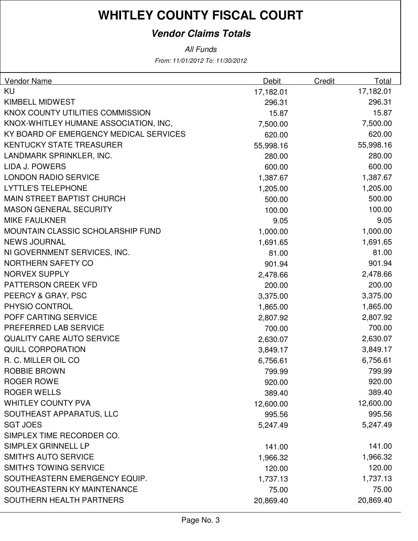#### **Vendor Claims Totals**

| <b>Vendor Name</b>                     | <b>Debit</b> | Credit | <b>Total</b> |
|----------------------------------------|--------------|--------|--------------|
| <b>KU</b>                              | 17,182.01    |        | 17,182.01    |
| <b>KIMBELL MIDWEST</b>                 | 296.31       |        | 296.31       |
| KNOX COUNTY UTILITIES COMMISSION       | 15.87        |        | 15.87        |
| KNOX-WHITLEY HUMANE ASSOCIATION, INC,  | 7,500.00     |        | 7,500.00     |
| KY BOARD OF EMERGENCY MEDICAL SERVICES | 620.00       |        | 620.00       |
| <b>KENTUCKY STATE TREASURER</b>        | 55,998.16    |        | 55,998.16    |
| LANDMARK SPRINKLER, INC.               | 280.00       |        | 280.00       |
| <b>LIDA J. POWERS</b>                  | 600.00       |        | 600.00       |
| <b>LONDON RADIO SERVICE</b>            | 1,387.67     |        | 1,387.67     |
| <b>LYTTLE'S TELEPHONE</b>              | 1,205.00     |        | 1,205.00     |
| <b>MAIN STREET BAPTIST CHURCH</b>      | 500.00       |        | 500.00       |
| <b>MASON GENERAL SECURITY</b>          | 100.00       |        | 100.00       |
| <b>MIKE FAULKNER</b>                   | 9.05         |        | 9.05         |
| MOUNTAIN CLASSIC SCHOLARSHIP FUND      | 1,000.00     |        | 1,000.00     |
| <b>NEWS JOURNAL</b>                    | 1,691.65     |        | 1,691.65     |
| NI GOVERNMENT SERVICES, INC.           | 81.00        |        | 81.00        |
| <b>NORTHERN SAFETY CO</b>              | 901.94       |        | 901.94       |
| <b>NORVEX SUPPLY</b>                   | 2,478.66     |        | 2,478.66     |
| PATTERSON CREEK VFD                    | 200.00       |        | 200.00       |
| PEERCY & GRAY, PSC                     | 3,375.00     |        | 3,375.00     |
| PHYSIO CONTROL                         | 1,865.00     |        | 1,865.00     |
| POFF CARTING SERVICE                   | 2,807.92     |        | 2,807.92     |
| PREFERRED LAB SERVICE                  | 700.00       |        | 700.00       |
| <b>QUALITY CARE AUTO SERVICE</b>       | 2,630.07     |        | 2,630.07     |
| <b>QUILL CORPORATION</b>               | 3,849.17     |        | 3,849.17     |
| R. C. MILLER OIL CO                    | 6,756.61     |        | 6,756.61     |
| <b>ROBBIE BROWN</b>                    | 799.99       |        | 799.99       |
| <b>ROGER ROWE</b>                      | 920.00       |        | 920.00       |
| <b>ROGER WELLS</b>                     | 389.40       |        | 389.40       |
| <b>WHITLEY COUNTY PVA</b>              | 12,600.00    |        | 12,600.00    |
| SOUTHEAST APPARATUS, LLC               | 995.56       |        | 995.56       |
| <b>SGT JOES</b>                        | 5,247.49     |        | 5,247.49     |
| SIMPLEX TIME RECORDER CO.              |              |        |              |
| SIMPLEX GRINNELL LP                    | 141.00       |        | 141.00       |
| <b>SMITH'S AUTO SERVICE</b>            | 1,966.32     |        | 1,966.32     |
| <b>SMITH'S TOWING SERVICE</b>          | 120.00       |        | 120.00       |
| SOUTHEASTERN EMERGENCY EQUIP.          | 1,737.13     |        | 1,737.13     |
| SOUTHEASTERN KY MAINTENANCE            | 75.00        |        | 75.00        |
| SOUTHERN HEALTH PARTNERS               | 20,869.40    |        | 20,869.40    |